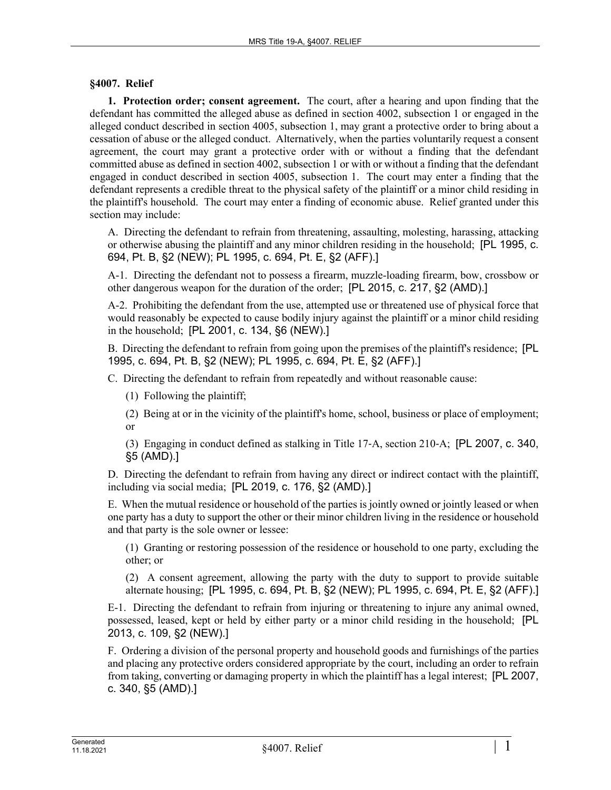## **§4007. Relief**

**1. Protection order; consent agreement.** The court, after a hearing and upon finding that the defendant has committed the alleged abuse as defined in section 4002, subsection 1 or engaged in the alleged conduct described in section 4005, subsection 1, may grant a protective order to bring about a cessation of abuse or the alleged conduct. Alternatively, when the parties voluntarily request a consent agreement, the court may grant a protective order with or without a finding that the defendant committed abuse as defined in section 4002, subsection 1 or with or without a finding that the defendant engaged in conduct described in section 4005, subsection 1. The court may enter a finding that the defendant represents a credible threat to the physical safety of the plaintiff or a minor child residing in the plaintiff's household. The court may enter a finding of economic abuse. Relief granted under this section may include:

A. Directing the defendant to refrain from threatening, assaulting, molesting, harassing, attacking or otherwise abusing the plaintiff and any minor children residing in the household; [PL 1995, c. 694, Pt. B, §2 (NEW); PL 1995, c. 694, Pt. E, §2 (AFF).]

A-1. Directing the defendant not to possess a firearm, muzzle-loading firearm, bow, crossbow or other dangerous weapon for the duration of the order; [PL 2015, c. 217, §2 (AMD).]

A-2. Prohibiting the defendant from the use, attempted use or threatened use of physical force that would reasonably be expected to cause bodily injury against the plaintiff or a minor child residing in the household; [PL 2001, c. 134, §6 (NEW).]

B. Directing the defendant to refrain from going upon the premises of the plaintiff's residence; [PL 1995, c. 694, Pt. B, §2 (NEW); PL 1995, c. 694, Pt. E, §2 (AFF).]

C. Directing the defendant to refrain from repeatedly and without reasonable cause:

(1) Following the plaintiff;

(2) Being at or in the vicinity of the plaintiff's home, school, business or place of employment; or

(3) Engaging in conduct defined as stalking in Title 17‑A, section 210‑A; [PL 2007, c. 340, §5 (AMD).]

D. Directing the defendant to refrain from having any direct or indirect contact with the plaintiff, including via social media; [PL 2019, c. 176, §2 (AMD).]

E. When the mutual residence or household of the parties is jointly owned or jointly leased or when one party has a duty to support the other or their minor children living in the residence or household and that party is the sole owner or lessee:

(1) Granting or restoring possession of the residence or household to one party, excluding the other; or

(2) A consent agreement, allowing the party with the duty to support to provide suitable alternate housing; [PL 1995, c. 694, Pt. B, §2 (NEW); PL 1995, c. 694, Pt. E, §2 (AFF).]

E-1. Directing the defendant to refrain from injuring or threatening to injure any animal owned, possessed, leased, kept or held by either party or a minor child residing in the household; [PL 2013, c. 109, §2 (NEW).]

F. Ordering a division of the personal property and household goods and furnishings of the parties and placing any protective orders considered appropriate by the court, including an order to refrain from taking, converting or damaging property in which the plaintiff has a legal interest; [PL 2007, c. 340, §5 (AMD).]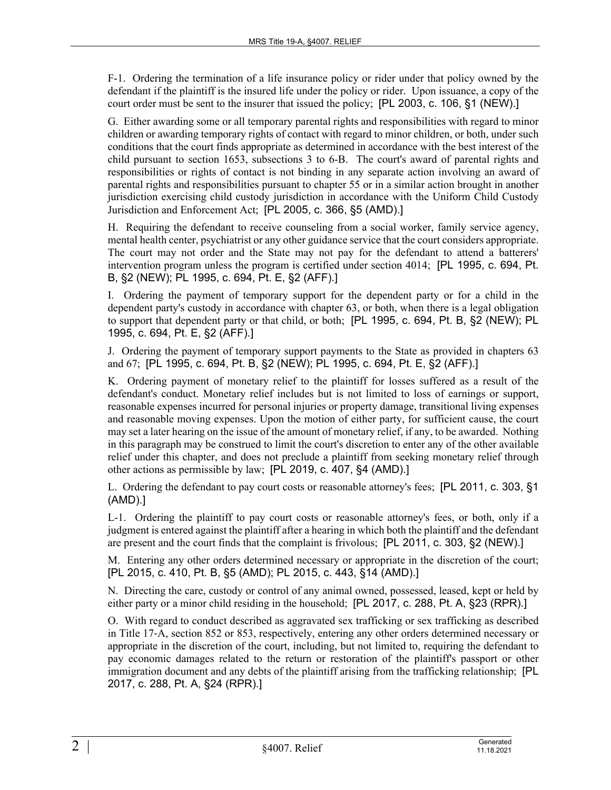F-1. Ordering the termination of a life insurance policy or rider under that policy owned by the defendant if the plaintiff is the insured life under the policy or rider. Upon issuance, a copy of the court order must be sent to the insurer that issued the policy; [PL 2003, c. 106, §1 (NEW).]

G. Either awarding some or all temporary parental rights and responsibilities with regard to minor children or awarding temporary rights of contact with regard to minor children, or both, under such conditions that the court finds appropriate as determined in accordance with the best interest of the child pursuant to section 1653, subsections 3 to 6-B. The court's award of parental rights and responsibilities or rights of contact is not binding in any separate action involving an award of parental rights and responsibilities pursuant to chapter 55 or in a similar action brought in another jurisdiction exercising child custody jurisdiction in accordance with the Uniform Child Custody Jurisdiction and Enforcement Act; [PL 2005, c. 366, §5 (AMD).]

H. Requiring the defendant to receive counseling from a social worker, family service agency, mental health center, psychiatrist or any other guidance service that the court considers appropriate. The court may not order and the State may not pay for the defendant to attend a batterers' intervention program unless the program is certified under section 4014; [PL 1995, c. 694, Pt. B, §2 (NEW); PL 1995, c. 694, Pt. E, §2 (AFF).]

I. Ordering the payment of temporary support for the dependent party or for a child in the dependent party's custody in accordance with chapter 63, or both, when there is a legal obligation to support that dependent party or that child, or both; [PL 1995, c. 694, Pt. B, §2 (NEW); PL 1995, c. 694, Pt. E, §2 (AFF).]

J. Ordering the payment of temporary support payments to the State as provided in chapters 63 and 67; [PL 1995, c. 694, Pt. B, §2 (NEW); PL 1995, c. 694, Pt. E, §2 (AFF).]

K. Ordering payment of monetary relief to the plaintiff for losses suffered as a result of the defendant's conduct. Monetary relief includes but is not limited to loss of earnings or support, reasonable expenses incurred for personal injuries or property damage, transitional living expenses and reasonable moving expenses. Upon the motion of either party, for sufficient cause, the court may set a later hearing on the issue of the amount of monetary relief, if any, to be awarded. Nothing in this paragraph may be construed to limit the court's discretion to enter any of the other available relief under this chapter, and does not preclude a plaintiff from seeking monetary relief through other actions as permissible by law; [PL 2019, c. 407, §4 (AMD).]

L. Ordering the defendant to pay court costs or reasonable attorney's fees; [PL 2011, c. 303, §1 (AMD).]

L-1. Ordering the plaintiff to pay court costs or reasonable attorney's fees, or both, only if a judgment is entered against the plaintiff after a hearing in which both the plaintiff and the defendant are present and the court finds that the complaint is frivolous; [PL 2011, c. 303, §2 (NEW).]

M. Entering any other orders determined necessary or appropriate in the discretion of the court; [PL 2015, c. 410, Pt. B, §5 (AMD); PL 2015, c. 443, §14 (AMD).]

N. Directing the care, custody or control of any animal owned, possessed, leased, kept or held by either party or a minor child residing in the household; [PL 2017, c. 288, Pt. A, §23 (RPR).]

O. With regard to conduct described as aggravated sex trafficking or sex trafficking as described in Title 17‑A, section 852 or 853, respectively, entering any other orders determined necessary or appropriate in the discretion of the court, including, but not limited to, requiring the defendant to pay economic damages related to the return or restoration of the plaintiff's passport or other immigration document and any debts of the plaintiff arising from the trafficking relationship; [PL 2017, c. 288, Pt. A, §24 (RPR).]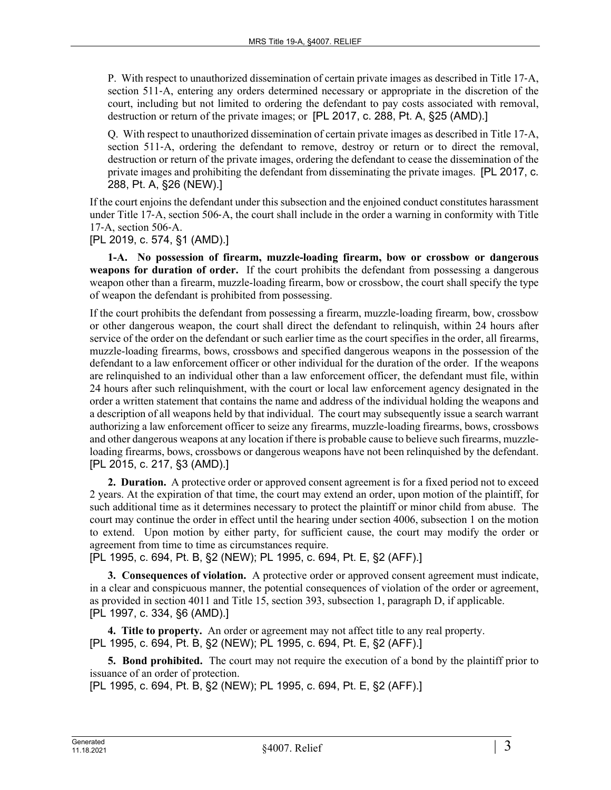P. With respect to unauthorized dissemination of certain private images as described in Title 17‑A, section 511–A, entering any orders determined necessary or appropriate in the discretion of the court, including but not limited to ordering the defendant to pay costs associated with removal, destruction or return of the private images; or [PL 2017, c. 288, Pt. A, §25 (AMD).]

Q. With respect to unauthorized dissemination of certain private images as described in Title 17‑A, section 511–A, ordering the defendant to remove, destroy or return or to direct the removal, destruction or return of the private images, ordering the defendant to cease the dissemination of the private images and prohibiting the defendant from disseminating the private images. [PL 2017, c. 288, Pt. A, §26 (NEW).]

If the court enjoins the defendant under this subsection and the enjoined conduct constitutes harassment under Title 17‑A, section 506‑A, the court shall include in the order a warning in conformity with Title 17‑A, section 506‑A.

[PL 2019, c. 574, §1 (AMD).]

**1-A. No possession of firearm, muzzle-loading firearm, bow or crossbow or dangerous weapons for duration of order.** If the court prohibits the defendant from possessing a dangerous weapon other than a firearm, muzzle-loading firearm, bow or crossbow, the court shall specify the type of weapon the defendant is prohibited from possessing.

If the court prohibits the defendant from possessing a firearm, muzzle-loading firearm, bow, crossbow or other dangerous weapon, the court shall direct the defendant to relinquish, within 24 hours after service of the order on the defendant or such earlier time as the court specifies in the order, all firearms, muzzle-loading firearms, bows, crossbows and specified dangerous weapons in the possession of the defendant to a law enforcement officer or other individual for the duration of the order. If the weapons are relinquished to an individual other than a law enforcement officer, the defendant must file, within 24 hours after such relinquishment, with the court or local law enforcement agency designated in the order a written statement that contains the name and address of the individual holding the weapons and a description of all weapons held by that individual. The court may subsequently issue a search warrant authorizing a law enforcement officer to seize any firearms, muzzle-loading firearms, bows, crossbows and other dangerous weapons at any location if there is probable cause to believe such firearms, muzzleloading firearms, bows, crossbows or dangerous weapons have not been relinquished by the defendant. [PL 2015, c. 217, §3 (AMD).]

**2. Duration.** A protective order or approved consent agreement is for a fixed period not to exceed 2 years. At the expiration of that time, the court may extend an order, upon motion of the plaintiff, for such additional time as it determines necessary to protect the plaintiff or minor child from abuse. The court may continue the order in effect until the hearing under section 4006, subsection 1 on the motion to extend. Upon motion by either party, for sufficient cause, the court may modify the order or agreement from time to time as circumstances require.

[PL 1995, c. 694, Pt. B, §2 (NEW); PL 1995, c. 694, Pt. E, §2 (AFF).]

**3. Consequences of violation.** A protective order or approved consent agreement must indicate, in a clear and conspicuous manner, the potential consequences of violation of the order or agreement, as provided in section 4011 and Title 15, section 393, subsection 1, paragraph D, if applicable. [PL 1997, c. 334, §6 (AMD).]

**4. Title to property.** An order or agreement may not affect title to any real property. [PL 1995, c. 694, Pt. B, §2 (NEW); PL 1995, c. 694, Pt. E, §2 (AFF).]

**5. Bond prohibited.** The court may not require the execution of a bond by the plaintiff prior to issuance of an order of protection.

[PL 1995, c. 694, Pt. B, §2 (NEW); PL 1995, c. 694, Pt. E, §2 (AFF).]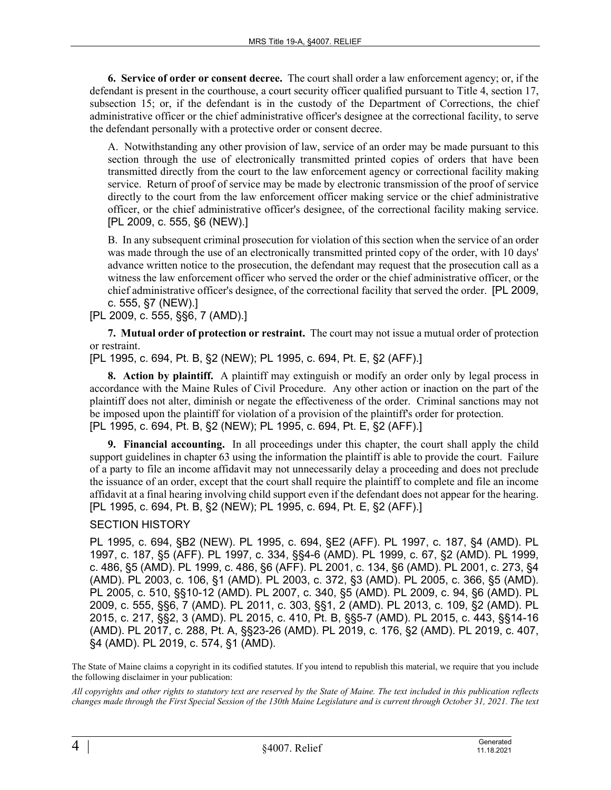**6. Service of order or consent decree.** The court shall order a law enforcement agency; or, if the defendant is present in the courthouse, a court security officer qualified pursuant to Title 4, section 17, subsection 15; or, if the defendant is in the custody of the Department of Corrections, the chief administrative officer or the chief administrative officer's designee at the correctional facility, to serve the defendant personally with a protective order or consent decree.

A. Notwithstanding any other provision of law, service of an order may be made pursuant to this section through the use of electronically transmitted printed copies of orders that have been transmitted directly from the court to the law enforcement agency or correctional facility making service. Return of proof of service may be made by electronic transmission of the proof of service directly to the court from the law enforcement officer making service or the chief administrative officer, or the chief administrative officer's designee, of the correctional facility making service. [PL 2009, c. 555, §6 (NEW).]

B. In any subsequent criminal prosecution for violation of this section when the service of an order was made through the use of an electronically transmitted printed copy of the order, with 10 days' advance written notice to the prosecution, the defendant may request that the prosecution call as a witness the law enforcement officer who served the order or the chief administrative officer, or the chief administrative officer's designee, of the correctional facility that served the order. [PL 2009, c. 555, §7 (NEW).]

[PL 2009, c. 555, §§6, 7 (AMD).]

**7. Mutual order of protection or restraint.** The court may not issue a mutual order of protection or restraint.

[PL 1995, c. 694, Pt. B, §2 (NEW); PL 1995, c. 694, Pt. E, §2 (AFF).]

**8. Action by plaintiff.** A plaintiff may extinguish or modify an order only by legal process in accordance with the Maine Rules of Civil Procedure. Any other action or inaction on the part of the plaintiff does not alter, diminish or negate the effectiveness of the order. Criminal sanctions may not be imposed upon the plaintiff for violation of a provision of the plaintiff's order for protection. [PL 1995, c. 694, Pt. B, §2 (NEW); PL 1995, c. 694, Pt. E, §2 (AFF).]

**9. Financial accounting.** In all proceedings under this chapter, the court shall apply the child support guidelines in chapter 63 using the information the plaintiff is able to provide the court. Failure of a party to file an income affidavit may not unnecessarily delay a proceeding and does not preclude the issuance of an order, except that the court shall require the plaintiff to complete and file an income affidavit at a final hearing involving child support even if the defendant does not appear for the hearing. [PL 1995, c. 694, Pt. B, §2 (NEW); PL 1995, c. 694, Pt. E, §2 (AFF).]

## SECTION HISTORY

PL 1995, c. 694, §B2 (NEW). PL 1995, c. 694, §E2 (AFF). PL 1997, c. 187, §4 (AMD). PL 1997, c. 187, §5 (AFF). PL 1997, c. 334, §§4-6 (AMD). PL 1999, c. 67, §2 (AMD). PL 1999, c. 486, §5 (AMD). PL 1999, c. 486, §6 (AFF). PL 2001, c. 134, §6 (AMD). PL 2001, c. 273, §4 (AMD). PL 2003, c. 106, §1 (AMD). PL 2003, c. 372, §3 (AMD). PL 2005, c. 366, §5 (AMD). PL 2005, c. 510, §§10-12 (AMD). PL 2007, c. 340, §5 (AMD). PL 2009, c. 94, §6 (AMD). PL 2009, c. 555, §§6, 7 (AMD). PL 2011, c. 303, §§1, 2 (AMD). PL 2013, c. 109, §2 (AMD). PL 2015, c. 217, §§2, 3 (AMD). PL 2015, c. 410, Pt. B, §§5-7 (AMD). PL 2015, c. 443, §§14-16 (AMD). PL 2017, c. 288, Pt. A, §§23-26 (AMD). PL 2019, c. 176, §2 (AMD). PL 2019, c. 407, §4 (AMD). PL 2019, c. 574, §1 (AMD).

The State of Maine claims a copyright in its codified statutes. If you intend to republish this material, we require that you include the following disclaimer in your publication:

*All copyrights and other rights to statutory text are reserved by the State of Maine. The text included in this publication reflects changes made through the First Special Session of the 130th Maine Legislature and is current through October 31, 2021. The text*